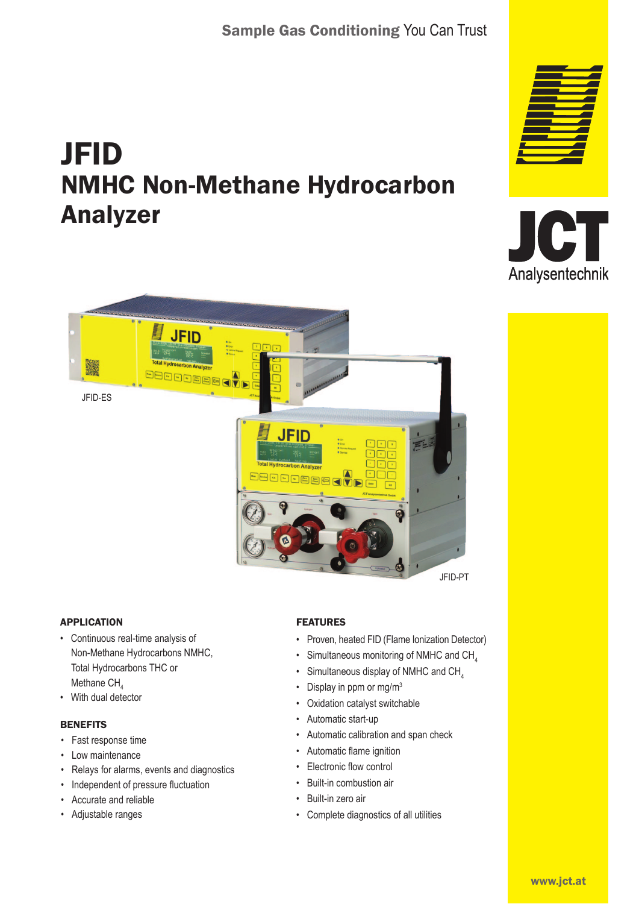# JFID NMHC Non-Methane Hydrocarbon Analyzer







#### **APPLICATION**

- Continuous real-time analysis of Non-Methane Hydrocarbons NMHC, Total Hydrocarbons THC or Methane CH,
- With dual detector

#### **BENEFITS**

- Fast response time
- Low maintenance
- Relays for alarms, events and diagnostics
- Independent of pressure fluctuation
- Accurate and reliable
- Adjustable ranges

#### FEATURES

- Proven, heated FID (Flame Ionization Detector)
- Simultaneous monitoring of NMHC and CH<sub>4</sub>
- $\cdot$  Simultaneous display of NMHC and CH<sub>4</sub>
- Display in ppm or  $mg/m<sup>3</sup>$
- Oxidation catalyst switchable
- Automatic start-up
- Automatic calibration and span check
- Automatic flame ignition
- Electronic flow control
- Built-in combustion air
- Built-in zero air
- Complete diagnostics of all utilities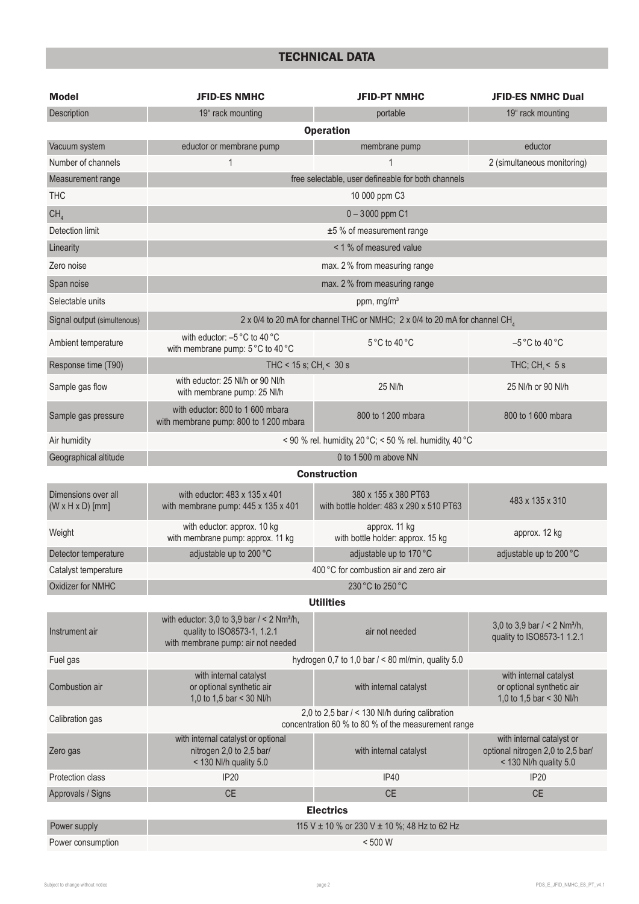## TECHNICAL DATA

| <b>Model</b>                                        | <b>JFID-ES NMHC</b>                                                                                                               | <b>JFID-PT NMHC</b>                                              | <b>JFID-ES NMHC Dual</b>                                                                 |  |
|-----------------------------------------------------|-----------------------------------------------------------------------------------------------------------------------------------|------------------------------------------------------------------|------------------------------------------------------------------------------------------|--|
| Description                                         | 19" rack mounting                                                                                                                 | portable                                                         | 19" rack mounting                                                                        |  |
| <b>Operation</b>                                    |                                                                                                                                   |                                                                  |                                                                                          |  |
| Vacuum system                                       | eductor or membrane pump                                                                                                          | membrane pump                                                    | eductor                                                                                  |  |
| Number of channels                                  | 1                                                                                                                                 | 1                                                                | 2 (simultaneous monitoring)                                                              |  |
| Measurement range                                   | free selectable, user defineable for both channels                                                                                |                                                                  |                                                                                          |  |
| <b>THC</b>                                          | 10 000 ppm C3                                                                                                                     |                                                                  |                                                                                          |  |
| CH <sub>4</sub>                                     | $0 - 3000$ ppm $C1$                                                                                                               |                                                                  |                                                                                          |  |
| Detection limit                                     | $±5$ % of measurement range                                                                                                       |                                                                  |                                                                                          |  |
| Linearity                                           | < 1 % of measured value                                                                                                           |                                                                  |                                                                                          |  |
| Zero noise                                          | max. 2% from measuring range                                                                                                      |                                                                  |                                                                                          |  |
| Span noise                                          | max. 2% from measuring range                                                                                                      |                                                                  |                                                                                          |  |
| Selectable units                                    | ppm, mg/m <sup>3</sup>                                                                                                            |                                                                  |                                                                                          |  |
| Signal output (simultenous)                         | 2 x 0/4 to 20 mA for channel THC or NMHC; 2 x 0/4 to 20 mA for channel CH                                                         |                                                                  |                                                                                          |  |
| Ambient temperature                                 | with eductor: -5 °C to 40 °C<br>with membrane pump: 5 °C to 40 °C                                                                 | 5°C to 40°C                                                      | $-5^{\circ}$ C to 40 $^{\circ}$ C                                                        |  |
| Response time (T90)                                 | THC < 15 s; CH <sub>4</sub> < 30 s<br>THC; $CHa < 5 s$                                                                            |                                                                  |                                                                                          |  |
| Sample gas flow                                     | with eductor: 25 NI/h or 90 NI/h<br>with membrane pump: 25 NI/h                                                                   | 25 NI/h                                                          | 25 NI/h or 90 NI/h                                                                       |  |
| Sample gas pressure                                 | with eductor: 800 to 1 600 mbara<br>with membrane pump: 800 to 1200 mbara                                                         | 800 to 1200 mbara                                                | 800 to 1600 mbara                                                                        |  |
| Air humidity                                        | < 90 % rel. humidity, 20 °C; < 50 % rel. humidity, 40 °C                                                                          |                                                                  |                                                                                          |  |
| Geographical altitude                               | 0 to 1500 m above NN                                                                                                              |                                                                  |                                                                                          |  |
| <b>Construction</b>                                 |                                                                                                                                   |                                                                  |                                                                                          |  |
| Dimensions over all<br>$(W \times H \times D)$ [mm] | with eductor: 483 x 135 x 401<br>with membrane pump: 445 x 135 x 401                                                              | 380 x 155 x 380 PT63<br>with bottle holder: 483 x 290 x 510 PT63 | 483 x 135 x 310                                                                          |  |
| Weight                                              | with eductor: approx. 10 kg<br>with membrane pump: approx. 11 kg                                                                  | approx. 11 kg<br>with bottle holder: approx. 15 kg               | approx. 12 kg                                                                            |  |
| Detector temperature                                | adjustable up to 200 °C                                                                                                           | adjustable up to 170 °C                                          | adjustable up to 200 °C                                                                  |  |
| Catalyst temperature                                | 400 °C for combustion air and zero air                                                                                            |                                                                  |                                                                                          |  |
| Oxidizer for NMHC                                   | 230 °C to 250 °C                                                                                                                  |                                                                  |                                                                                          |  |
| <b>Utilities</b>                                    |                                                                                                                                   |                                                                  |                                                                                          |  |
| Instrument air                                      | with eductor: $3,0$ to $3,9$ bar $/ < 2$ Nm <sup>3</sup> /h,<br>quality to ISO8573-1, 1.2.1<br>with membrane pump: air not needed | air not needed                                                   | 3,0 to 3,9 bar $/ < 2$ Nm <sup>3</sup> /h,<br>quality to ISO8573-1 1.2.1                 |  |
| Fuel gas                                            | hydrogen 0,7 to 1,0 bar $/ < 80$ ml/min, quality 5.0                                                                              |                                                                  |                                                                                          |  |
| Combustion air                                      | with internal catalyst<br>or optional synthetic air<br>1,0 to 1,5 bar < 30 NI/h                                                   | with internal catalyst                                           | with internal catalyst<br>or optional synthetic air<br>1,0 to 1,5 bar < 30 NI/h          |  |
| Calibration gas                                     | 2,0 to 2,5 bar / < 130 NI/h during calibration<br>concentration 60 % to 80 % of the measurement range                             |                                                                  |                                                                                          |  |
| Zero gas                                            | with internal catalyst or optional<br>nitrogen 2,0 to 2,5 bar/<br>< 130 Nl/h quality 5.0                                          | with internal catalyst                                           | with internal catalyst or<br>optional nitrogen 2,0 to 2,5 bar/<br>< 130 Nl/h quality 5.0 |  |
| Protection class                                    | <b>IP20</b>                                                                                                                       | <b>IP40</b>                                                      | <b>IP20</b>                                                                              |  |
| Approvals / Signs                                   | <b>CE</b>                                                                                                                         | <b>CE</b>                                                        | <b>CE</b>                                                                                |  |
| <b>Electrics</b>                                    |                                                                                                                                   |                                                                  |                                                                                          |  |
| Power supply                                        | 115 V ± 10 % or 230 V ± 10 %; 48 Hz to 62 Hz                                                                                      |                                                                  |                                                                                          |  |
| Power consumption                                   | $< 500 W$                                                                                                                         |                                                                  |                                                                                          |  |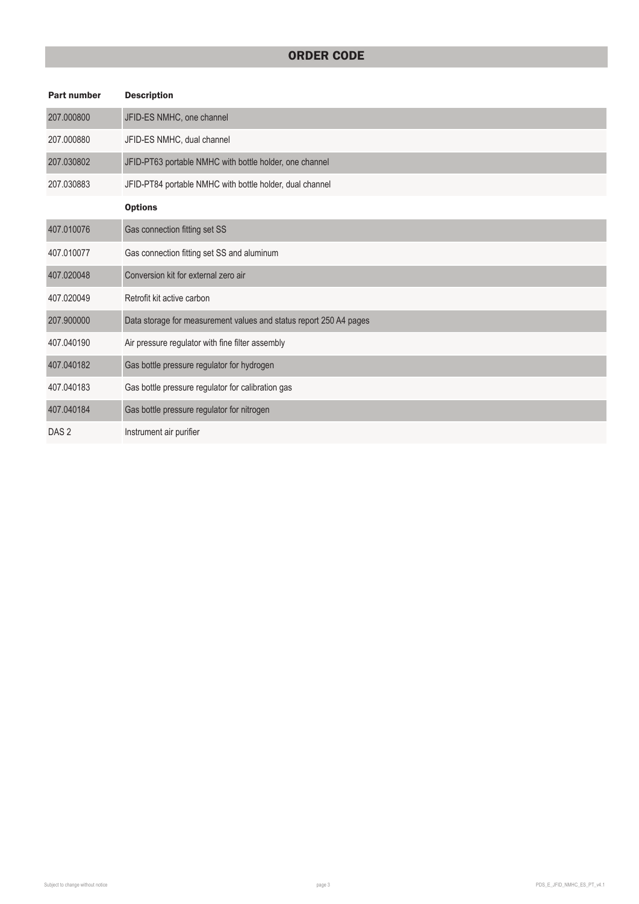### ORDER CODE

| <b>Part number</b> | <b>Description</b>                                                 |
|--------------------|--------------------------------------------------------------------|
| 207.000800         | JFID-ES NMHC, one channel                                          |
| 207.000880         | JFID-ES NMHC, dual channel                                         |
| 207.030802         | JFID-PT63 portable NMHC with bottle holder, one channel            |
| 207.030883         | JFID-PT84 portable NMHC with bottle holder, dual channel           |
|                    | <b>Options</b>                                                     |
| 407.010076         | Gas connection fitting set SS                                      |
| 407.010077         | Gas connection fitting set SS and aluminum                         |
| 407.020048         | Conversion kit for external zero air                               |
| 407.020049         | Retrofit kit active carbon                                         |
| 207.900000         | Data storage for measurement values and status report 250 A4 pages |
| 407.040190         | Air pressure regulator with fine filter assembly                   |
| 407.040182         | Gas bottle pressure regulator for hydrogen                         |
| 407.040183         | Gas bottle pressure regulator for calibration gas                  |
| 407.040184         | Gas bottle pressure regulator for nitrogen                         |
| DAS <sub>2</sub>   | Instrument air purifier                                            |